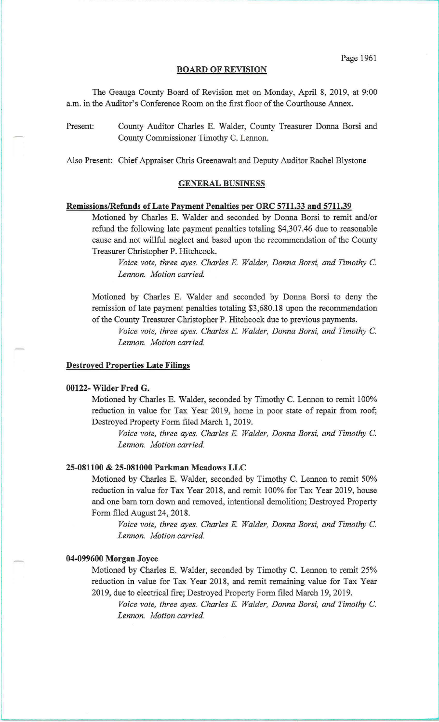#### **BOARD OF REVISION**

The Geauga County Board of Revision met on Monday, April 8, 2019, at 9:00 a.m. in the Auditor's Conference Room on the first floor of the Courthouse Annex.

Present: County Auditor Charles E. Walder, County Treasurer Donna Borsi and County Commissioner Timothy C. Lennon.

Also Present: Chief Appraiser Chris Greenawalt and Deputy Auditor Rachel Blystone

#### **GENERAL BUSINESS**

### **Remissions/Refunds of Late Payment Penalties per ORC 5711.33 and 5711.39**

Motioned by Charles E. Walder and seconded by Donna Borsi to remit and/or refund the following late payment penalties totaling \$4,307.46 due to reasonable cause and not willful neglect and based upon the recommendation of the County Treasurer Christopher **P.** Hitchcock.

*Voice vote, three ayes. Charles* E. *Walder, Donna Borsi, and Timothy* C. *Lennon. Motion carried.* 

Motioned by Charles E. Walder and seconded by Donna Borsi to deny the remission of late payment penalties totaling \$3,680.18 upon the recommendation of the County Treasurer Christopher P. Hitchcock due to previous payments.

*Voice vote, three ayes. Charles* E. *Walder, Donna Borsi, and Timothy* C. *Lennon. Motion carried.* 

#### **Destroyed Properties Late Filings**

### **00122- Wilder Fred G.**

Motioned by Charles E. Walder, seconded by Timothy C. Lennon to remit 100% reduction in value for Tax Year 2019, home in poor state of repair from roof; Destroyed Property Form filed March 1, 2019.

*Voice vote, three ayes. Charles* E. *Walder, Donna Borsi, and Timothy* C. *Lennon. Motion carried.* 

### **25-081100 & 25-081000 Parkman Meadows LLC**

Motioned by Charles E. Walder, seconded by Timothy C. Lennon to remit 50% reduction in value for Tax Year 2018, and remit 100% for Tax Year 2019, house and one barn tom down and removed, intentional demolition; Destroyed Property Form filed August 24, 2018.

*Voice vote, three ayes. Charles* E. *Walder, Donna Borsi, and Timothy* C. *Lennon. Motion carried.* 

#### **04-099600 Morgan Joyce**

Motioned by Charles E. Walder, seconded by Timothy C. Lennon to remit 25% reduction in value for Tax Year 2018, and remit remaining value for Tax Year 2019, due to electrical fire; Destroyed Property Form filed March 19,2019.

*Voice vote, three ayes. Charles* E. *Walder, Donna Borsi, and Timothy* C. *Lennon. Motion carried.*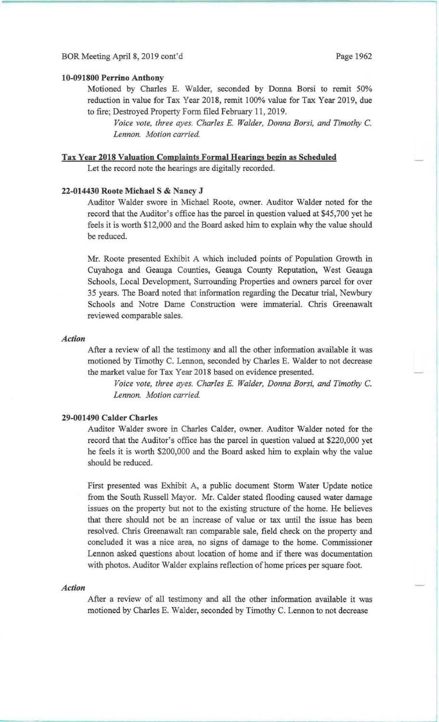### 10-091800 Perrino Anthony

Motioned by Charles E. Walder, seconded by Donna Borsi to remit 50% reduction in value for Tax Year 2018, remit 100% value for Tax Year 2019, due to fire; Destroyed Property Form filed February 11, 2019.

*Voice vote, three ayes. Charles* E. *Walder, Donna Borsi, and Timothy* C. *Lennon. Motion carried.* 

# Tax Year 2018 Valuation Complaints Formal Hearings begin as Scheduled

Let the record note the hearings are digitally recorded.

### 22-014430 Roote Michael S & Nancy J

Auditor Walder swore in Michael Roote, owner. Auditor Walder noted for the record that the Auditor's office has the parcel in question valued at \$45,700 yet he feels it is worth \$12,000 and the Board asked him to explain why the value should be reduced.

Mr. Roote presented Exhibit A which included points of Population Growth in Cuyahoga and Geauga Counties, Geauga County Reputation, West Geauga Schools, Local Development, Surrounding Properties and owners parcel for over 35 years. The Board noted that information regarding the Decatur trial, Newbury Schools and Notre Dame Construction were immaterial. Chris Greenawalt reviewed comparable sales.

#### *Action*

After a review of all the testimony and all the other information available it was motioned by Timothy C. Lennon, seconded by Charles E. Walder to not decrease the market value for Tax Year 2018 based on evidence presented.

*Voice vote, three ayes. Charles* E. *Walder, Donna Borsi, and Timothy* C. Lennon. Motion carried.

# 29-001490 Calder Charles

Auditor Walder swore in Charles Calder, owner. Auditor Walder noted for the record that the Auditor's office has the parcel in question valued at \$220,000 yet he feels it is worth \$200,000 and the Board asked him to explain why the value should be reduced.

First presented was Exhibit A, a public document Storm Water Update notice from the South Russell Mayor. Mr. Calder stated flooding caused water damage issues on the property but not to the existing structure of the home. He believes that there should not be an increase of value or tax until the issue has been resolved. Chris Greenawalt ran comparable sale, field check on the property and concluded it was a nice area, no signs of damage to the home. Commissioner Lennon asked questions about location of home and if there was documentation with photos. Auditor Walder explains reflection of home prices per square foot.

#### *Action*

After a review of all testimony and all the other information available it was motioned by Charles E. Walder, seconded by Timothy C. Lennon to not decrease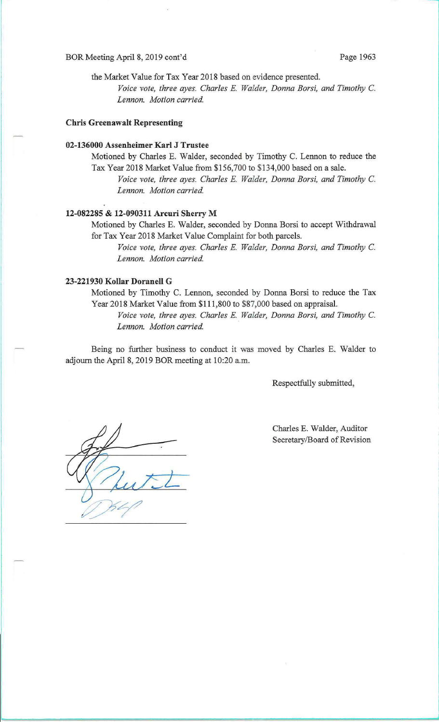#### BOR Meeting April 8, 2019 cont'd Page 1963

the Market Value for Tax Year 2018 based on evidence presented. *Voice vote, three ayes. Charles* E. *Walder, Donna Borsi, and Timothy* C. *Lennon. Motion carried.* 

# **Chris Greenawalt Representing**

### **02-136000 Assenheimer Karl J Trustee**

Motioned by Charles E. Walder, seconded by Timothy C. Lennon to reduce the Tax Year 2018 Market Value from \$156,700 to \$134,000 based on a sale.

*Voice vote, three ayes. Charles* E. *Walder, Donna Borsi, and Timothy* C. *Lennon. Motion carried.* 

# **12-082285 & 12-090311 Arcuri Sherry M**

Motioned by Charles E. Walder, seconded by Donna Borsi to accept Withdrawal for Tax Year 2018 Market Value Complaint for both parcels.

*Voice vote, three ayes. Charles* E. *Walder, Donna Borsi, and Timothy* C. *Lennon. Motion carried.* 

# **23-221930 Kollar Doranell G**

Motioned by Timothy C. Lennon, seconded by Donna Borsi to reduce the Tax Year 2018 Market Value from \$111,800 to \$87,000 based on appraisal.

*Voice vote, three ayes. Charles* E. *Walder, Donna Borsi, and Timothy* C. *Lennon. Motion carried.* 

Being no further business to conduct it was moved by Charles E. Walder to adjourn the April 8, 2019 BOR meeting at 10:20 a.m.

Respectfully submitted,

Charles E. Walder, Auditor Secretary/Board of Revision